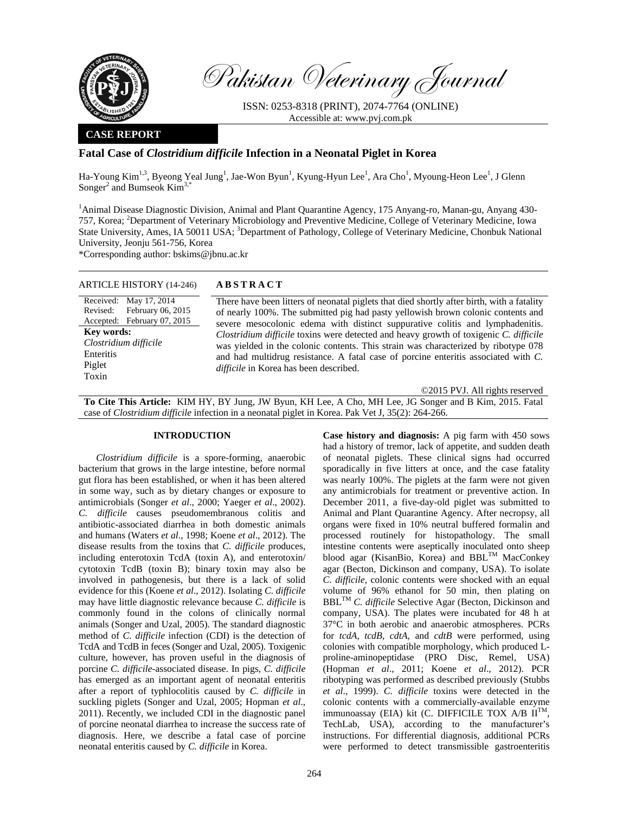

Pakistan Veterinary Journal

ISSN: 0253-8318 (PRINT), 2074-7764 (ONLINE) Accessible at: www.pvj.com.pk

### **CASE REPORT**

# **Fatal Case of** *Clostridium difficile* **Infection in a Neonatal Piglet in Korea**

Ha-Young Kim<sup>1,3</sup>, Byeong Yeal Jung<sup>1</sup>, Jae-Won Byun<sup>1</sup>, Kyung-Hyun Lee<sup>1</sup>, Ara Cho<sup>1</sup>, Myoung-Heon Lee<sup>1</sup>, J Glenn Songer<sup>2</sup> and Bumseok  $Kim<sup>3,*</sup>$ 

<sup>1</sup> Animal Disease Diagnostic Division, Animal and Plant Quarantine Agency, 175 Anyang-ro, Manan-gu, Anyang 430-757, Korea; <sup>2</sup>Department of Veterinary Microbiology and Preventive Medicine, College of Veterinary Medicine, Iowa State University, Ames, IA 50011 USA; <sup>3</sup>Department of Pathology, College of Veterinary Medicine, Chonbuk National University, Jeonju 561-756, Korea

\*Corresponding author: bskims@jbnu.ac.kr

| <b>ARTICLE HISTORY (14-246)</b> | <b>ABSTRACT</b>                                                                                                              |
|---------------------------------|------------------------------------------------------------------------------------------------------------------------------|
| Received: May 17, 2014          | There have been litters of neonatal piglets that died shortly after birth, with a fatality                                   |
| Revised: February 06, 2015      | of nearly 100%. The submitted pig had pasty yellowish brown colonic contents and                                             |
| Accepted: February 07, 2015     | severe mesocolonic edema with distinct suppurative colitis and lymphadenitis.                                                |
| Key words:                      | Clostridium difficile toxins were detected and heavy growth of toxigenic C. difficile                                        |
| Clostridium difficile           | was yielded in the colonic contents. This strain was characterized by ribotype 078                                           |
| Enteritis                       | and had multidrug resistance. A fatal case of porcine enteritis associated with C.<br>difficile in Korea has been described. |
| Piglet<br>Toxin                 |                                                                                                                              |

©2015 PVJ. All rights reserved **To Cite This Article:** KIM HY, BY Jung, JW Byun, KH Lee, A Cho, MH Lee, JG Songer and B Kim, 2015. Fatal case of *Clostridium difficile* infection in a neonatal piglet in Korea. Pak Vet J, 35(2): 264-266.

## **INTRODUCTION**

*Clostridium difficile* is a spore-forming, anaerobic bacterium that grows in the large intestine, before normal gut flora has been established, or when it has been altered in some way, such as by dietary changes or exposure to antimicrobials (Songer *et al*., 2000; Yaeger *et al*., 2002). *C. difficile* causes pseudomembranous colitis and antibiotic-associated diarrhea in both domestic animals and humans (Waters *et al*., 1998; Koene *et al*., 2012). The disease results from the toxins that *C. difficile* produces, including enterotoxin TcdA (toxin A), and enterotoxin/ cytotoxin TcdB (toxin B); binary toxin may also be involved in pathogenesis, but there is a lack of solid evidence for this (Koene *et al*., 2012). Isolating *C. difficile* may have little diagnostic relevance because *C. difficile* is commonly found in the colons of clinically normal animals (Songer and Uzal, 2005). The standard diagnostic method of *C. difficile* infection (CDI) is the detection of TcdA and TcdB in feces (Songer and Uzal, 2005). Toxigenic culture, however, has proven useful in the diagnosis of porcine *C. difficile*-associated disease. In pigs, *C. difficile* has emerged as an important agent of neonatal enteritis after a report of typhlocolitis caused by *C. difficile* in suckling piglets (Songer and Uzal, 2005; Hopman *et al*., 2011). Recently, we included CDI in the diagnostic panel of porcine neonatal diarrhea to increase the success rate of diagnosis. Here, we describe a fatal case of porcine neonatal enteritis caused by *C. difficile* in Korea.

**Case history and diagnosis:** A pig farm with 450 sows had a history of tremor, lack of appetite, and sudden death of neonatal piglets. These clinical signs had occurred sporadically in five litters at once, and the case fatality was nearly 100%. The piglets at the farm were not given any antimicrobials for treatment or preventive action. In December 2011, a five-day-old piglet was submitted to Animal and Plant Quarantine Agency. After necropsy, all organs were fixed in 10% neutral buffered formalin and processed routinely for histopathology. The small intestine contents were aseptically inoculated onto sheep blood agar (KisanBio, Korea) and BBL<sup>TM</sup> MacConkey agar (Becton, Dickinson and company, USA). To isolate *C. difficile*, colonic contents were shocked with an equal volume of 96% ethanol for 50 min, then plating on BBL<sup>TM</sup> *C. difficile* Selective Agar (Becton, Dickinson and company, USA). The plates were incubated for 48 h at 37°C in both aerobic and anaerobic atmospheres. PCRs for *tcdA, tcdB, cdtA,* and *cdtB* were performed, using colonies with compatible morphology, which produced Lproline-aminopeptidase (PRO Disc, Remel, USA) (Hopman *et al*., 2011; Koene *et al*., 2012). PCR ribotyping was performed as described previously (Stubbs *et al*., 1999). *C. difficile* toxins were detected in the colonic contents with a commercially-available enzyme immunoassay (EIA) kit (C. DIFFICILE TOX A/B  $II^{TM}$ , TechLab, USA), according to the manufacturer's instructions. For differential diagnosis, additional PCRs were performed to detect transmissible gastroenteritis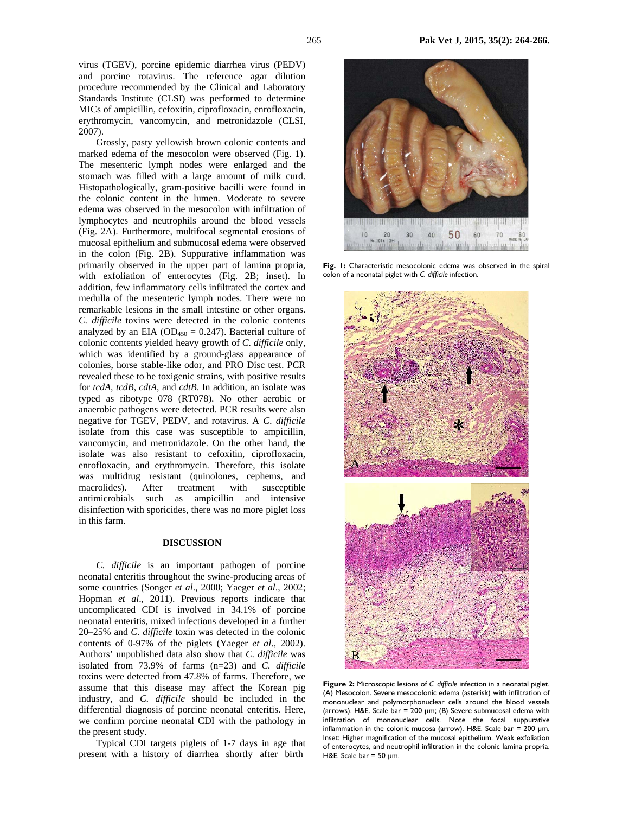Grossly, pasty yellowish brown colonic contents and marked edema of the mesocolon were observed (Fig. 1). The mesenteric lymph nodes were enlarged and the stomach was filled with a large amount of milk curd. Histopathologically, gram-positive bacilli were found in the colonic content in the lumen. Moderate to severe edema was observed in the mesocolon with infiltration of lymphocytes and neutrophils around the blood vessels (Fig. 2A). Furthermore, multifocal segmental erosions of mucosal epithelium and submucosal edema were observed in the colon (Fig. 2B). Suppurative inflammation was primarily observed in the upper part of lamina propria, with exfoliation of enterocytes (Fig. 2B; inset). In addition, few inflammatory cells infiltrated the cortex and medulla of the mesenteric lymph nodes. There were no remarkable lesions in the small intestine or other organs. *C. difficile* toxins were detected in the colonic contents analyzed by an EIA ( $OD_{450} = 0.247$ ). Bacterial culture of colonic contents yielded heavy growth of *C. difficile* only, which was identified by a ground-glass appearance of colonies, horse stable-like odor, and PRO Disc test. PCR revealed these to be toxigenic strains, with positive results for *tcdA, tcdB*, *cdtA*, and *cdtB*. In addition, an isolate was typed as ribotype 078 (RT078). No other aerobic or anaerobic pathogens were detected. PCR results were also negative for TGEV, PEDV, and rotavirus. A *C. difficile* isolate from this case was susceptible to ampicillin, vancomycin, and metronidazole. On the other hand, the isolate was also resistant to cefoxitin, ciprofloxacin, enrofloxacin, and erythromycin. Therefore, this isolate was multidrug resistant (quinolones, cephems, and macrolides). After treatment with susceptible antimicrobials such as ampicillin and intensive disinfection with sporicides, there was no more piglet loss in this farm.

#### **DISCUSSION**

*C. difficile* is an important pathogen of porcine neonatal enteritis throughout the swine-producing areas of some countries (Songer *et al*., 2000; Yaeger *et al*., 2002; Hopman *et al*., 2011). Previous reports indicate that uncomplicated CDI is involved in 34.1% of porcine neonatal enteritis, mixed infections developed in a further 20–25% and *C. difficile* toxin was detected in the colonic contents of 0-97% of the piglets (Yaeger *et al*., 2002). Authors' unpublished data also show that *C. difficile* was isolated from 73.9% of farms (n=23) and *C. difficile* toxins were detected from 47.8% of farms. Therefore, we assume that this disease may affect the Korean pig industry, and *C. difficile* should be included in the differential diagnosis of porcine neonatal enteritis. Here, we confirm porcine neonatal CDI with the pathology in the present study.

Typical CDI targets piglets of 1-7 days in age that present with a history of diarrhea shortly after birth



Fig. 1: Characteristic mesocolonic edema was observed in the spiral colon of a neonatal piglet with *C. difficile* infection.



**Figure 2:** Microscopic lesions of *C. difficile* infection in a neonatal piglet. (A) Mesocolon. Severe mesocolonic edema (asterisk) with infiltration of mononuclear and polymorphonuclear cells around the blood vessels (arrows). H&E. Scale bar = 200 µm; (B) Severe submucosal edema with infiltration of mononuclear cells. Note the focal suppurative inflammation in the colonic mucosa (arrow). H&E. Scale bar = 200  $\mu$ m. Inset: Higher magnification of the mucosal epithelium. Weak exfoliation of enterocytes, and neutrophil infiltration in the colonic lamina propria. H&E. Scale bar =  $50 \mu m$ .